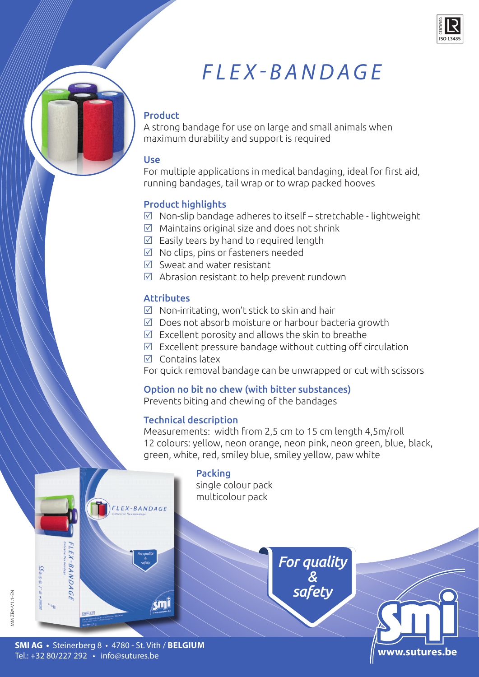

# *FLEX-BANDAGE*

## Product

A strong bandage for use on large and small animals when maximum durability and support is required

#### Use

For multiple applications in medical bandaging, ideal for first aid, running bandages, tail wrap or to wrap packed hooves

### Product highlights

- $\boxtimes$  Non-slip bandage adheres to itself stretchable lightweight
- $\boxtimes$  Maintains original size and does not shrink
- $\triangledown$  Easily tears by hand to required length
- $\boxtimes$  No clips, pins or fasteners needed
- $\triangledown$  Sweat and water resistant
- $\boxtimes$  Abrasion resistant to help prevent rundown

#### **Attributes**

- $\boxtimes$  Non-irritating, won't stick to skin and hair
- $\boxtimes$  Does not absorb moisture or harbour bacteria growth
- $\boxtimes$  Excellent porosity and allows the skin to breathe
- $\boxtimes$  Excellent pressure bandage without cutting off circulation
- $\nabla$  Contains latex

For quick removal bandage can be unwrapped or cut with scissors

#### Option no bit no chew (with bitter substances)

Prevents biting and chewing of the bandages

#### Technical description

Measurements: width from 2,5 cm to 15 cm length 4,5m/roll 12 colours: yellow, neon orange, neon pink, neon green, blue, black, green, white, red, smiley blue, smiley yellow, paw white

> *For quality & safety*

> > www.sutures

# Packing single colour pack multicolour pack FLEX-BANDAGE FLEX-BANDAGE

**MM ZBA-V1.1-EN** MM ZBA-V1.1-EN